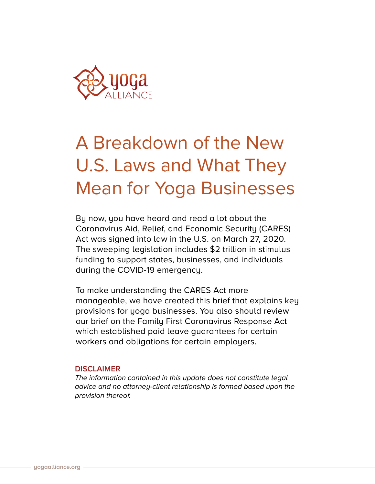

# A Breakdown of the New U.S. Laws and What They Mean for Yoga Businesses

By now, you have heard and read a lot about the Coronavirus Aid, Relief, and Economic Security (CARES) Act was signed into law in the U.S. on March 27, 2020. The sweeping legislation includes \$2 trillion in stimulus funding to support states, businesses, and individuals during the COVID-19 emergency.

To make understanding the CARES Act more manageable, we have created this brief that explains key provisions for yoga businesses. You also should review our brief on the Family First Coronavirus Response Act which established paid leave guarantees for certain workers and obligations for certain employers.

# **DISCLAIMER**

*The information contained in this update does not constitute legal advice and no attorney-client relationship is formed based upon the provision thereof.*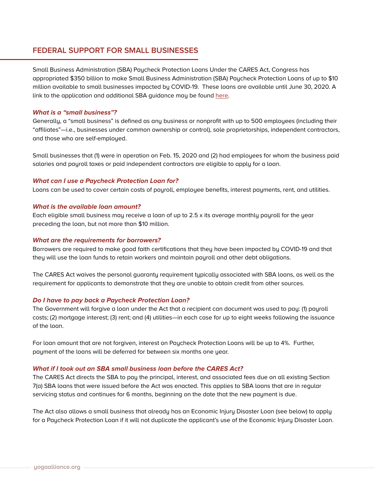# **FEDERAL SUPPORT FOR SMALL BUSINESSES**

Small Business Administration (SBA) Paycheck Protection Loans Under the CARES Act, Congress has appropriated \$350 billion to make Small Business Administration (SBA) Paycheck Protection Loans of up to \$10 million available to small businesses impacted by COVID-19. These loans are available until June 30, 2020. A link to the application and additional SBA guidance may be found [here.](http://home.treasury.gov/policy-issues/top-priorities/cares-act/assistance-for-small-businesses)

# **What is a "small business"?**

Generally, a "small business" is defined as any business or nonprofit with up to 500 employees (including their "affiliates"—i.e., businesses under common ownership or control), sole proprietorships, independent contractors, and those who are self-employed.

Small businesses that (1) were in operation on Feb. 15, 2020 and (2) had employees for whom the business paid salaries and payroll taxes or paid independent contractors are eligible to apply for a loan.

# **What can I use a Paycheck Protection Loan for?**

Loans can be used to cover certain costs of payroll, employee benefits, interest payments, rent, and utilities.

# **What is the available loan amount?**

Each eligible small business may receive a loan of up to 2.5 x its average monthly payroll for the year preceding the loan, but not more than \$10 million.

# **What are the requirements for borrowers?**

Borrowers are required to make good faith certifications that they have been impacted by COVID-19 and that they will use the loan funds to retain workers and maintain payroll and other debt obligations.

The CARES Act waives the personal guaranty requirement typically associated with SBA loans, as well as the requirement for applicants to demonstrate that they are unable to obtain credit from other sources.

## **Do I have to pay back a Paycheck Protection Loan?**

The Government will forgive a loan under the Act that a recipient can document was used to pay: (1) payroll costs; (2) mortgage interest; (3) rent; and (4) utilities—in each case for up to eight weeks following the issuance of the loan.

For loan amount that are not forgiven, interest on Paycheck Protection Loans will be up to 4%. Further, payment of the loans will be deferred for between six months one year.

## **What if I took out an SBA small business loan before the CARES Act?**

The CARES Act directs the SBA to pay the principal, interest, and associated fees due on all existing Section 7(a) SBA loans that were issued before the Act was enacted. This applies to SBA loans that are in regular servicing status and continues for 6 months, beginning on the date that the new payment is due.

The Act also allows a small business that already has an Economic Injury Disaster Loan (see below) to apply for a Paycheck Protection Loan if it will not duplicate the applicant's use of the Economic Injury Disaster Loan.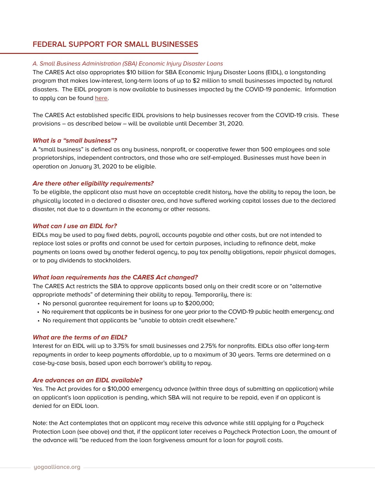# **FEDERAL SUPPORT FOR SMALL BUSINESSES**

### *A. Small Business Administration (SBA) Economic Injury Disaster Loans*

The CARES Act also appropriates \$10 billion for SBA Economic Injury Disaster Loans (EIDL), a longstanding program that makes low-interest, long-term loans of up to \$2 million to small businesses impacted by natural disasters. The EIDL program is now available to businesses impacted by the COVID-19 pandemic. Information to apply can be found here.

The CARES Act established specific EIDL provisions to help businesses recover from the COVID-19 crisis. These provisions – as described below – will be available until December 31, 2020.

#### **What is a "small business"?**

A "small business" is defined as any business, nonprofit, or cooperative fewer than 500 employees and sole proprietorships, independent contractors, and those who are self-employed. Businesses must have been in operation on January 31, 2020 to be eligible.

#### **Are there other eligibility requirements?**

To be eligible, the applicant also must have an acceptable credit history, have the ability to repay the loan, be physically located in a declared a disaster area, and have suffered working capital losses due to the declared disaster, not due to a downturn in the economy or other reasons.

#### **What can I use an EIDL for?**

EIDLs may be used to pay fixed debts, payroll, accounts payable and other costs, but are not intended to replace lost sales or profits and cannot be used for certain purposes, including to refinance debt, make payments on loans owed by another federal agency, to pay tax penalty obligations, repair physical damages, or to pay dividends to stockholders.

#### **What loan requirements has the CARES Act changed?**

The CARES Act restricts the SBA to approve applicants based only on their credit score or on "alternative appropriate methods" of determining their ability to repay. Temporarily, there is:

- No personal guarantee requirement for loans up to \$200,000;
- No requirement that applicants be in business for one year prior to the COVID-19 public health emergency; and
- No requirement that applicants be "unable to obtain credit elsewhere."

#### **What are the terms of an EIDL?**

Interest for an EIDL will up to 3.75% for small businesses and 2.75% for nonprofits. EIDLs also offer long-term repayments in order to keep payments affordable, up to a maximum of 30 years. Terms are determined on a case-by-case basis, based upon each borrower's ability to repay.

# **Are advances on an EIDL available?**

Yes. The Act provides for a \$10,000 emergency advance (within three days of submitting an application) while an applicant's loan application is pending, which SBA will not require to be repaid, even if an applicant is denied for an EIDL loan.

Note: the Act contemplates that an applicant may receive this advance while still applying for a Paycheck Protection Loan (see above) and that, if the applicant later receives a Paycheck Protection Loan, the amount of the advance will "be reduced from the loan forgiveness amount for a loan for payroll costs.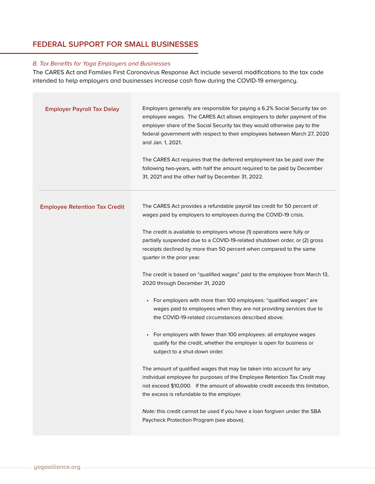# **FEDERAL SUPPORT FOR SMALL BUSINESSES**

# B. Tax Benefits for Yoga Employers and Businesses

The CARES Act and Families First Coronavirus Response Act include several modifications to the tax code intended to help employers and businesses increase cash flow during the COVID-19 emergency.

| <b>Employer Payroll Tax Delay</b>    | Employers generally are responsible for paying a 6.2% Social Security tax on<br>employee wages. The CARES Act allows employers to defer payment of the<br>employer share of the Social Security tax they would otherwise pay to the<br>federal government with respect to their employees between March 27, 2020<br>and Jan. 1, 2021.<br>The CARES Act requires that the deferred employment tax be paid over the<br>following two-years, with half the amount required to be paid by December<br>31, 2021 and the other half by December 31, 2022.                                                                                                                                                                                                                                                                                                                                                                                                                                                                                                                                                                                                                                                                                                                                                                          |
|--------------------------------------|------------------------------------------------------------------------------------------------------------------------------------------------------------------------------------------------------------------------------------------------------------------------------------------------------------------------------------------------------------------------------------------------------------------------------------------------------------------------------------------------------------------------------------------------------------------------------------------------------------------------------------------------------------------------------------------------------------------------------------------------------------------------------------------------------------------------------------------------------------------------------------------------------------------------------------------------------------------------------------------------------------------------------------------------------------------------------------------------------------------------------------------------------------------------------------------------------------------------------------------------------------------------------------------------------------------------------|
| <b>Employee Retention Tax Credit</b> | The CARES Act provides a refundable payroll tax credit for 50 percent of<br>wages paid by employers to employees during the COVID-19 crisis.<br>The credit is available to employers whose (1) operations were fully or<br>partially suspended due to a COVID-19-related shutdown order, or (2) gross<br>receipts declined by more than 50 percent when compared to the same<br>quarter in the prior year.<br>The credit is based on "qualified wages" paid to the employee from March 13,<br>2020 through December 31, 2020<br>• For employers with more than 100 employees: "qualified wages" are<br>wages paid to employees when they are not providing services due to<br>the COVID-19-related circumstances described above.<br>For employers with fewer than 100 employees: all employee wages<br>qualify for the credit, whether the employer is open for business or<br>subject to a shut-down order.<br>The amount of qualified wages that may be taken into account for any<br>individual employee for purposes of the Employee Retention Tax Credit may<br>not exceed \$10,000. If the amount of allowable credit exceeds this limitation,<br>the excess is refundable to the employer.<br>Note: this credit cannot be used if you have a loan forgiven under the SBA<br>Paycheck Protection Program (see above). |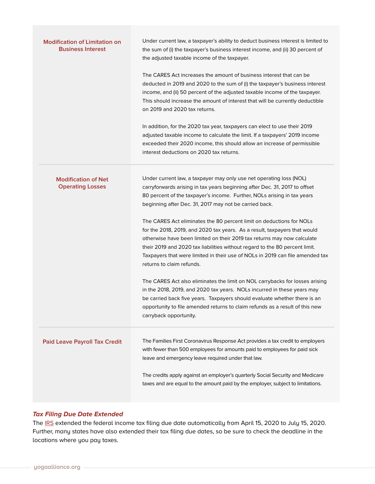| <b>Modification of Limitation on</b><br><b>Business Interest</b> | Under current law, a taxpayer's ability to deduct business interest is limited to<br>the sum of (i) the taxpayer's business interest income, and (ii) 30 percent of<br>the adjusted taxable income of the taxpayer.<br>The CARES Act increases the amount of business interest that can be<br>deducted in 2019 and 2020 to the sum of (i) the taxpayer's business interest<br>income, and (ii) 50 percent of the adjusted taxable income of the taxpayer.<br>This should increase the amount of interest that will be currently deductible<br>on 2019 and 2020 tax returns.<br>In addition, for the 2020 tax year, taxpayers can elect to use their 2019<br>adjusted taxable income to calculate the limit. If a taxpayers' 2019 income<br>exceeded their 2020 income, this should allow an increase of permissible<br>interest deductions on 2020 tax returns.                                                                                                                                                                                                       |
|------------------------------------------------------------------|-----------------------------------------------------------------------------------------------------------------------------------------------------------------------------------------------------------------------------------------------------------------------------------------------------------------------------------------------------------------------------------------------------------------------------------------------------------------------------------------------------------------------------------------------------------------------------------------------------------------------------------------------------------------------------------------------------------------------------------------------------------------------------------------------------------------------------------------------------------------------------------------------------------------------------------------------------------------------------------------------------------------------------------------------------------------------|
| <b>Modification of Net</b><br><b>Operating Losses</b>            | Under current law, a taxpayer may only use net operating loss (NOL)<br>carryforwards arising in tax years beginning after Dec. 31, 2017 to offset<br>80 percent of the taxpayer's income. Further, NOLs arising in tax years<br>beginning after Dec. 31, 2017 may not be carried back.<br>The CARES Act eliminates the 80 percent limit on deductions for NOLs<br>for the 2018, 2019, and 2020 tax years. As a result, taxpayers that would<br>otherwise have been limited on their 2019 tax returns may now calculate<br>their 2019 and 2020 tax liabilities without regard to the 80 percent limit.<br>Taxpayers that were limited in their use of NOLs in 2019 can file amended tax<br>returns to claim refunds.<br>The CARES Act also eliminates the limit on NOL carrybacks for losses arising<br>in the 2018, 2019, and 2020 tax years. NOLs incurred in these years may<br>be carried back five years. Taxpayers should evaluate whether there is an<br>opportunity to file amended returns to claim refunds as a result of this new<br>carryback opportunity. |
| <b>Paid Leave Payroll Tax Credit</b>                             | The Families First Coronavirus Response Act provides a tax credit to employers<br>with fewer than 500 employees for amounts paid to employees for paid sick<br>leave and emergency leave required under that law.<br>The credits apply against an employer's quarterly Social Security and Medicare<br>taxes and are equal to the amount paid by the employer, subject to limitations.                                                                                                                                                                                                                                                                                                                                                                                                                                                                                                                                                                                                                                                                                |

# **Tax Filing Due Date Extended**

The IRS extended the federal income tax filing due date automatically from April 15, 2020 to July 15, 2020. Further, many states have also extended their tax filing due dates, so be sure to check the deadline in the locations where you pay taxes.